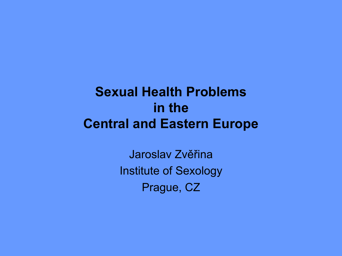# **Sexual Health Problems in the Central and Eastern Europe**

Jaroslav Zvěřina Institute of Sexology Prague, CZ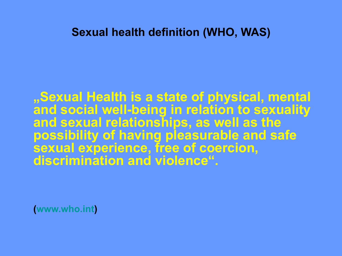### **Sexual health definition (WHO, WAS)**

**"Sexual Health is a state of physical, mental and social well-being in relation to sexuality and sexual relationships, as well as the possibility of having pleasurable and safe sexual experience, free of coercion, discrimination and violence".** 

**[\(www.who.int\)](http://www.who.int/)**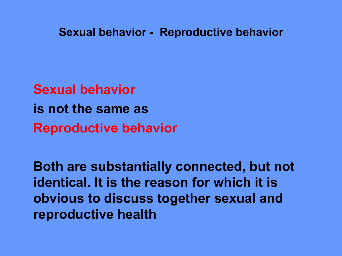**Sexual behavior - Reproductive behavior**

**Sexual behavior is not the same as Reproductive behavior**

**Both are substantially connected, but not identical. It is the reason for which it is obvious to discuss together sexual and reproductive health**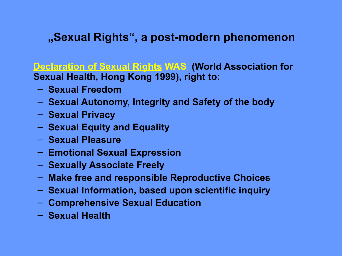### **"Sexual Rights", a post-modern phenomenon**

**Declaration of Sexual Rights WAS (World Association for Sexual Health, Hong Kong 1999), right to:**

- **Sexual Freedom**
- **Sexual Autonomy, Integrity and Safety of the body**
- **Sexual Privacy**
- **Sexual Equity and Equality**
- **Sexual Pleasure**
- **Emotional Sexual Expression**
- **Sexually Associate Freely**
- **Make free and responsible Reproductive Choices**
- **Sexual Information, based upon scientific inquiry**
- **Comprehensive Sexual Education**
- **Sexual Health**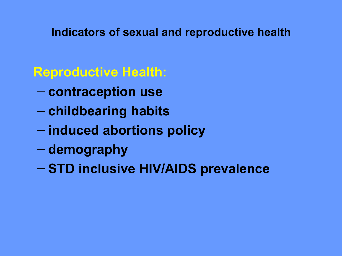**Indicators of sexual and reproductive health**

**Reproductive Health:** 

- **contraception use**
- **childbearing habits**
- **induced abortions policy**
- **demography**
- **STD inclusive HIV/AIDS prevalence**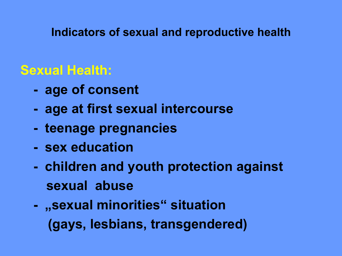### **Indicators of sexual and reproductive health**

# **Sexual Health:**

- **age of consent**
- **age at first sexual intercourse**
- **teenage pregnancies**
- **sex education**
- **children and youth protection against sexual abuse**
- **-** "sexual minorities" situation  **(gays, lesbians, transgendered)**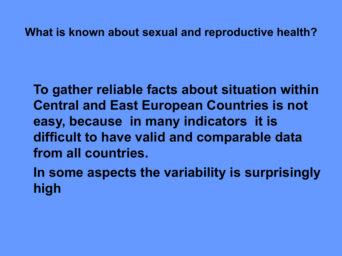### **What is known about sexual and reproductive health?**

**To gather reliable facts about situation within Central and East European Countries is not easy, because in many indicators it is difficult to have valid and comparable data from all countries.** 

**In some aspects the variability is surprisingly high**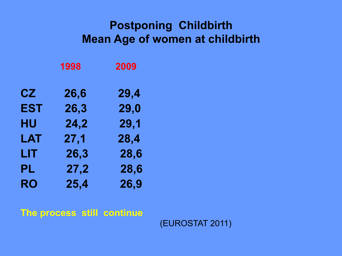### **Postponing Childbirth Mean Age of women at childbirth**

|           | 1998 | 2009 |
|-----------|------|------|
| CZ        | 26,6 | 29,4 |
| EST       | 26,3 | 29,0 |
| HU        | 24,2 | 29,1 |
| LAT       | 27,1 | 28,4 |
| LIT       | 26,3 | 28,6 |
| PL        | 27,2 | 28,6 |
| <b>RO</b> | 25,4 | 26,9 |

**The process still continue** 

(EUROSTAT 2011)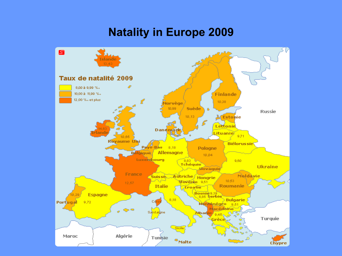### **Natality in Europe 2009**

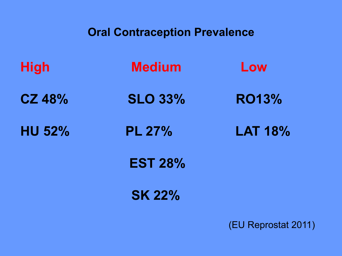### **Oral Contraception Prevalence**

| <b>High</b>   | <b>Medium</b>  | Low            |
|---------------|----------------|----------------|
| <b>CZ 48%</b> | <b>SLO 33%</b> | <b>RO13%</b>   |
| <b>HU 52%</b> | <b>PL 27%</b>  | <b>LAT 18%</b> |
|               | <b>EST 28%</b> |                |
|               | <b>SK 22%</b>  |                |

(EU Reprostat 2011)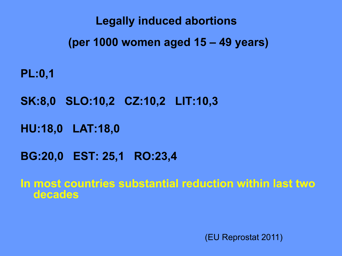**Legally induced abortions (per 1000 women aged 15 – 49 years)**

**PL:0,1** 

**SK:8,0 SLO:10,2 CZ:10,2 LIT:10,3**

**HU:18,0 LAT:18,0**

**BG:20,0 EST: 25,1 RO:23,4**

**In most countries substantial reduction within last two decades**

(EU Reprostat 2011)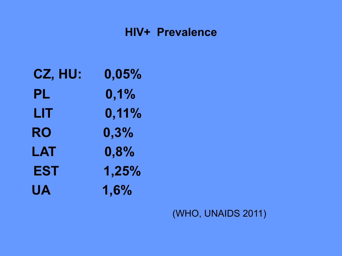### **HIV+ Prevalence**

- **CZ, HU: 0,05%**
- **PL 0,1%**
- **LIT 0,11%**
- **RO 0,3%**
- **LAT 0,8%**
- **EST 1,25%**
- **UA 1,6%**

(WHO, UNAIDS 2011)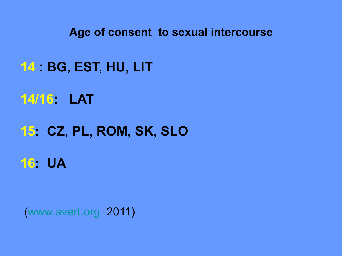**Age of consent to sexual intercourse**

# **14 : BG, EST, HU, LIT**

**14/16: LAT** 

# **15: CZ, PL, ROM, SK, SLO**

**16: UA**

[\(www.avert.org](http://www.avert.org/) 2011)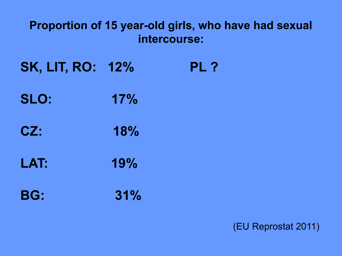### **Proportion of 15 year-old girls, who have had sexual intercourse:**

- **SK, LIT, RO: 12% PL ?**
- **SLO: 17%**
- **CZ: 18%**
- **LAT: 19%**
- **BG: 31%**

(EU Reprostat 2011)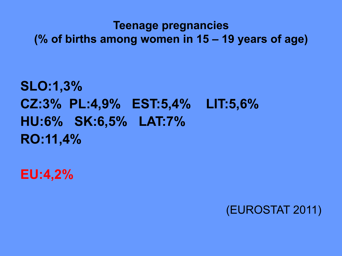### **Teenage pregnancies (% of births among women in 15 – 19 years of age)**

```
SLO:1,3% 
CZ:3% PL:4,9% EST:5,4% LIT:5,6% 
HU:6% SK:6,5% LAT:7%
RO:11,4%
```
**EU:4,2%**

(EUROSTAT 2011)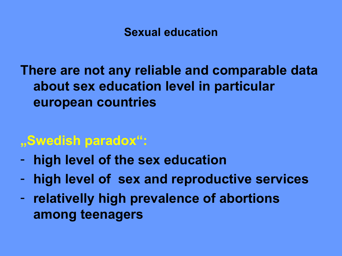### **Sexual education**

**There are not any reliable and comparable data about sex education level in particular european countries**

# **"Swedish paradox":**

- **high level of the sex education**
- **high level of sex and reproductive services**
- **relativelly high prevalence of abortions among teenagers**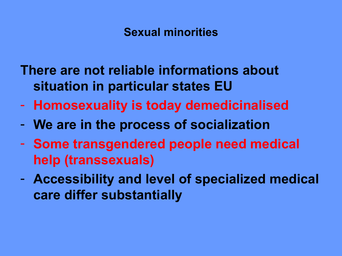### **Sexual minorities**

- **There are not reliable informations about situation in particular states EU**
- **Homosexuality is today demedicinalised**
- **We are in the process of socialization**
- **Some transgendered people need medical help (transsexuals)**
- **Accessibility and level of specialized medical care differ substantially**